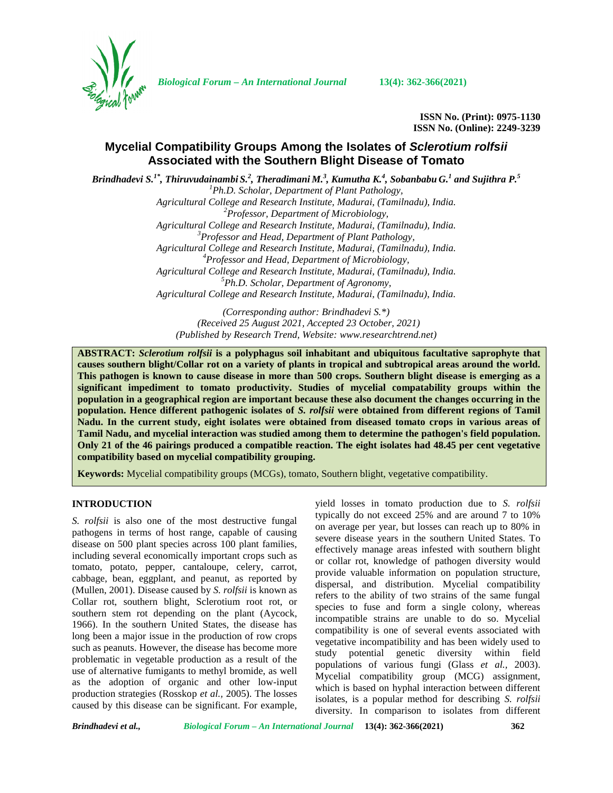

*Biological Forum – An International Journal* **13(4): 362-366(2021)**

**ISSN No. (Print): 0975-1130 ISSN No. (Online): 2249-3239**

# **Mycelial Compatibility Groups Among the Isolates of** *Sclerotium rolfsii* **Associated with the Southern Blight Disease of Tomato**

Brindhadevi S. $^{1*}$ , Thiruvudainambi S. $^2$ , Theradimani M. $^3$ , Kumutha K. $^4$ , Sobanbabu G. $^1$  and Sujithra P. $^5$ *<sup>1</sup>Ph.D. Scholar, Department of Plant Pathology, Agricultural College and Research Institute, Madurai, (Tamilnadu), India. <sup>2</sup>Professor, Department of Microbiology, Agricultural College and Research Institute, Madurai, (Tamilnadu), India. <sup>3</sup>Professor and Head, Department of Plant Pathology, Agricultural College and Research Institute, Madurai, (Tamilnadu), India. <sup>4</sup>Professor and Head, Department of Microbiology, Agricultural College and Research Institute, Madurai, (Tamilnadu), India. <sup>5</sup>Ph.D. Scholar, Department of Agronomy, Agricultural College and Research Institute, Madurai, (Tamilnadu), India.*

> *(Corresponding author: Brindhadevi S.\*) (Received 25 August 2021, Accepted 23 October, 2021) (Published by Research Trend, Website: [www.researchtrend.net\)](www.researchtrend.net)*

**ABSTRACT:** *Sclerotium rolfsii* **is a polyphagus soil inhabitant and ubiquitous facultative saprophyte that causes southern blight/Collar rot on a variety of plants in tropical and subtropical areas around the world. This pathogen is known to cause disease in more than 500 crops. Southern blight disease is emerging as a significant impediment to tomato productivity. Studies of mycelial compatability groups within the population in a geographical region are important because these also document the changes occurring in the population. Hence different pathogenic isolates of** *S. rolfsii* **were obtained from different regions of Tamil Nadu. In the current study, eight isolates were obtained from diseased tomato crops in various areas of Tamil Nadu, and mycelial interaction was studied among them to determine the pathogen's field population. Only 21 of the 46 pairings produced a compatible reaction. The eight isolates had 48.45 per cent vegetative compatibility based on mycelial compatibility grouping.**

**Keywords:** Mycelial compatibility groups (MCGs), tomato, Southern blight, vegetative compatibility.

# **INTRODUCTION**

*S. rolfsii* is also one of the most destructive fungal pathogens in terms of host range, capable of causing disease on 500 plant species across 100 plant families, including several economically important crops such as tomato, potato, pepper, cantaloupe, celery, carrot, cabbage, bean, eggplant, and peanut, as reported by (Mullen, 2001). Disease caused by *S. rolfsii* is known as Collar rot, southern blight, Sclerotium root rot, or southern stem rot depending on the plant (Aycock, 1966). In the southern United States, the disease has long been a major issue in the production of row crops such as peanuts. However, the disease has become more problematic in vegetable production as a result of the use of alternative fumigants to methyl bromide, as well as the adoption of organic and other low-input production strategies (Rosskop *et al.,* 2005). The losses caused by this disease can be significant. For example,

yield losses in tomato production due to *S. rolfsii* typically do not exceed 25% and are around 7 to 10% on average per year, but losses can reach up to 80% in severe disease years in the southern United States. To effectively manage areas infested with southern blight or collar rot, knowledge of pathogen diversity would provide valuable information on population structure, dispersal, and distribution. Mycelial compatibility refers to the ability of two strains of the same fungal species to fuse and form a single colony, whereas incompatible strains are unable to do so. Mycelial compatibility is one of several events associated with vegetative incompatibility and has been widely used to study potential genetic diversity within field populations of various fungi (Glass *et al.,* 2003). Mycelial compatibility group (MCG) assignment, which is based on hyphal interaction between different isolates, is a popular method for describing *S. rolfsii* diversity. In comparison to isolates from different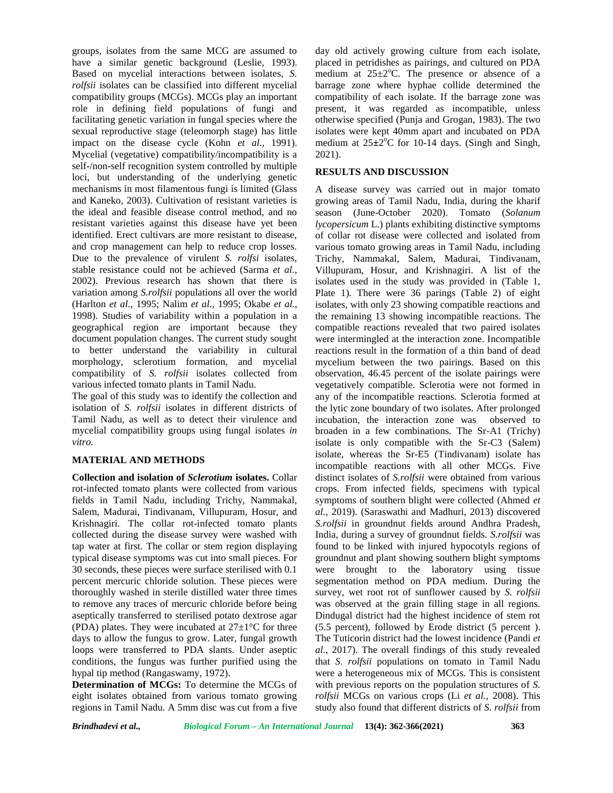groups, isolates from the same MCG are assumed to have a similar genetic background (Leslie, 1993). Based on mycelial interactions between isolates, *S. rolfsii* isolates can be classified into different mycelial compatibility groups (MCGs). MCGs play an important role in defining field populations of fungi and facilitating genetic variation in fungal species where the sexual reproductive stage (teleomorph stage) has little impact on the disease cycle (Kohn *et al.,* 1991). Mycelial (vegetative) compatibility/incompatibility is a self-/non-self recognition system controlled by multiple loci, but understanding of the underlying genetic mechanisms in most filamentous fungi is limited (Glass and Kaneko, 2003). Cultivation of resistant varieties is the ideal and feasible disease control method, and no resistant varieties against this disease have yet been identified. Erect cultivars are more resistant to disease, and crop management can help to reduce crop losses*.* Due to the prevalence of virulent *S. rolfsi* isolates, stable resistance could not be achieved (Sarma *et al.,* 2002). Previous research has shown that there is variation among *S.rolfsii* populations all over the world (Harlton *et al.,* 1995; Nalim *et al.,* 1995; Okabe *et al.,* 1998). Studies of variability within a population in a geographical region are important because they document population changes. The current study sought to better understand the variability in cultural morphology, sclerotium formation, and mycelial compatibility of *S. rolfsii* isolates collected from various infected tomato plants in Tamil Nadu.

The goal of this study was to identify the collection and isolation of *S. rolfsii* isolates in different districts of Tamil Nadu, as well as to detect their virulence and mycelial compatibility groups using fungal isolates *in vitro.*

# **MATERIAL AND METHODS**

**Collection and isolation of** *Sclerotium* **isolates.** Collar rot-infected tomato plants were collected from various fields in Tamil Nadu, including Trichy, Nammakal, Salem, Madurai, Tindivanam, Villupuram, Hosur, and Krishnagiri. The collar rot-infected tomato plants collected during the disease survey were washed with tap water at first. The collar or stem region displaying typical disease symptoms was cut into small pieces. For 30 seconds, these pieces were surface sterilised with 0.1 percent mercuric chloride solution. These pieces were thoroughly washed in sterile distilled water three times to remove any traces of mercuric chloride before being aseptically transferred to sterilised potato dextrose agar (PDA) plates. They were incubated at  $27\pm1\textdegree C$  for three days to allow the fungus to grow. Later, fungal growth loops were transferred to PDA slants. Under aseptic conditions, the fungus was further purified using the hypal tip method (Rangaswamy, 1972).

**Determination of MCGs:** To determine the MCGs of eight isolates obtained from various tomato growing regions in Tamil Nadu. A 5mm disc was cut from a five

day old actively growing culture from each isolate, placed in petridishes as pairings, and cultured on PDA medium at  $25 \pm 2$ °C. The presence or absence of a barrage zone where hyphae collide determined the compatibility of each isolate. If the barrage zone was present, it was regarded as incompatible, unless otherwise specified (Punja and Grogan, 1983). The two isolates were kept 40mm apart and incubated on PDA medium at  $25\pm2^{\circ}$ C for 10-14 days. (Singh and Singh, 2021).

### **RESULTS AND DISCUSSION**

A disease survey was carried out in major tomato growing areas of Tamil Nadu, India, during the kharif season (June-October 2020). Tomato (*Solanum lycopersicum* L.) plants exhibiting distinctive symptoms of collar rot disease were collected and isolated from various tomato growing areas in Tamil Nadu, including Trichy, Nammakal, Salem, Madurai, Tindivanam, Villupuram, Hosur, and Krishnagiri. A list of the isolates used in the study was provided in (Table 1, Plate 1). There were 36 parings (Table 2) of eight isolates, with only 23 showing compatible reactions and the remaining 13 showing incompatible reactions. The compatible reactions revealed that two paired isolates were intermingled at the interaction zone. Incompatible reactions result in the formation of a thin band of dead mycelium between the two pairings. Based on this observation, 46.45 percent of the isolate pairings were vegetatively compatible. Sclerotia were not formed in any of the incompatible reactions. Sclerotia formed at the lytic zone boundary of two isolates. After prolonged incubation, the interaction zone was observed to broaden in a few combinations. The Sr-A1 (Trichy) isolate is only compatible with the Sr-C3 (Salem) isolate, whereas the Sr-E5 (Tindivanam) isolate has incompatible reactions with all other MCGs. Five distinct isolates of *S.rolfsii* were obtained from various crops. From infected fields, specimens with typical symptoms of southern blight were collected (Ahmed *et al.,* 2019). (Saraswathi and Madhuri, 2013) discovered *S.rolfsii* in groundnut fields around Andhra Pradesh, India, during a survey of groundnut fields. *S.rolfsii* was found to be linked with injured hypocotyls regions of groundnut and plant showing southern blight symptoms were brought to the laboratory using tissue segmentation method on PDA medium. During the survey, wet root rot of sunflower caused by *S. rolfsii* was observed at the grain filling stage in all regions. Dindugal district had the highest incidence of stem rot (5.5 percent), followed by Erode district (5 percent ). The Tuticorin district had the lowest incidence (Pandi *et al.,* 2017). The overall findings of this study revealed that *S. rolfsii* populations on tomato in Tamil Nadu were a heterogeneous mix of MCGs. This is consistent with previous reports on the population structures of *S. rolfsii* MCGs on various crops (Li *et al.,* 2008). This study also found that different districts of *S. rolfsii* from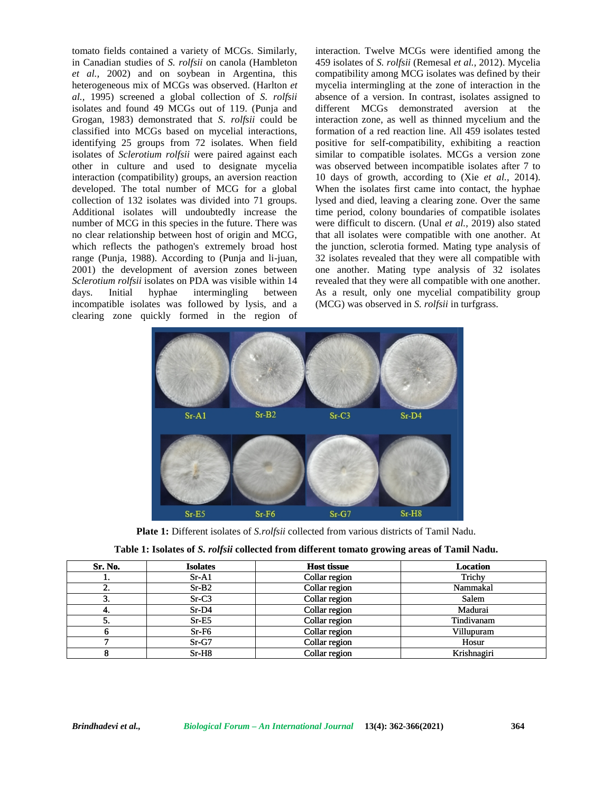tomato fields contained a variety of MCGs. Similarly, in Canadian studies of *S. rolfsii* on canola (Hambleton *et al.,* 2002) and on soybean in Argentina, this heterogeneous mix of MCGs was observed. (Harlton *et al.,* 1995) screened a global collection of *S. rolfsii* isolates and found 49 MCGs out of 119. (Punja and Grogan, 1983) demonstrated that *S. rolfsii* could be classified into MCGs based on mycelial interactions, identifying 25 groups from 72 isolates. When field isolates of *Sclerotium rolfsii* were paired against each other in culture and used to designate mycelia interaction (compatibility) groups, an aversion reaction developed. The total number of MCG for a global collection of 132 isolates was divided into 71 groups. Additional isolates will undoubtedly increase the number of MCG in this species in the future. There was no clear relationship between host of origin and MCG, which reflects the pathogen's extremely broad host range (Punja, 1988). According to (Punja and li-juan, 2001) the development of aversion zones between one *Sclerotium rolfsii* isolates on PDA was visible within 14 days. Initial hyphae intermingling between incompatible isolates was followed by lysis, and a clearing zone quickly formed in the region of nuth field contained a variety of MCGs. Similarly, interaction T<br>and field on a variety of MCGs was observed. (Hariburean 459 isolates of<br>exceptions mix of MCGs was observed. (Haribure in mogelia interactions)<br>and on soyb 1995) screened a global collection of *S. rolfsii* tes and found 49 MCGs out of 119. (Punja and gan, 1983) demonstrated that *S. rolfsii* could be ified into MCGs based on mycelial interactions, it is groups from 72 isolat interaction (compatibility) groups, an aversion reaction<br>developed. The total number of MCG for a global<br>collection of 132 isolates was divided into 71 groups.<br>Additional isolates will undoubtedly increase the<br>number of MC

interaction. Twelve MCGs were identified among the 459 isolates of *S. rolfsii* (Remesal *et al.,* 2012). Mycelia compatibility among MCG isolates was defined by their mycelia intermingling at the zone of interaction in the absence of a version. In contrast, isolates assigned to different MCGs demonstrated aversion at the interaction zone, as well as thinned mycelium and the formation of a red reaction line. All 459 isolates tested positive for self-compatibility, exhibiting a reaction similar to compatible isolates. MCGs a version zone was observed between incompatible isolates after 7 to 10 days of growth, according to (Xie *et al.,* 2014). When the isolates first came into contact, the hyphae lysed and died, leaving a clearing zone. Over the same time period, colony boundaries of compatible isolates were difficult to discern. (Unal *et al.,* 2019) also stated that all isolates were compatible with one another. At the junction, sclerotia formed. Mating type analysis of 32 isolates revealed that they were all compatible with one another. Mating type analysis of 32 isolates revealed that they were all compatible with one another. As a result, only one mycelial compatibility group (MCG) was observed in *S. rolfsii* in turfgrass. Interior of MCGs. Similarly, interaction. Twelve MCGs were identified among the<br>
ies of  $S. rofgii$  or anola (Hambleton 459 isolates of  $S. rofgii$  (Remesal et al., 2012). My<br>cella in ano defined a 450 isolates was observed. (Har



**Plate 1:** Different isolates of *S.rolfsii* collected from various districts of Tamil Nadu.

| Initial<br>days.                                                                                                                                                                                       | no clear relationship between host of origin and MCG,<br>which reflects the pathogen's extremely broad host<br>range (Punja, 1988). According to (Punja and li-juan,<br>2001) the development of aversion zones between<br>Sclerotium rolfsii isolates on PDA was visible within 14<br>hyphae<br>intermingling<br>incompatible isolates was followed by lysis, and a<br>clearing zone quickly formed in the region of | between       | that all isolates were compatible with one another. At<br>the junction, sclerotia formed. Mating type analysis of<br>32 isolates revealed that they were all compatible with<br>one another. Mating type analysis of 32 isolates<br>revealed that they were all compatible with one another.<br>As a result, only one mycelial compatibility group<br>(MCG) was observed in S. rolfsii in turfgrass. |         |               |  |  |  |  |  |
|--------------------------------------------------------------------------------------------------------------------------------------------------------------------------------------------------------|-----------------------------------------------------------------------------------------------------------------------------------------------------------------------------------------------------------------------------------------------------------------------------------------------------------------------------------------------------------------------------------------------------------------------|---------------|------------------------------------------------------------------------------------------------------------------------------------------------------------------------------------------------------------------------------------------------------------------------------------------------------------------------------------------------------------------------------------------------------|---------|---------------|--|--|--|--|--|
|                                                                                                                                                                                                        | $Sr-A1$                                                                                                                                                                                                                                                                                                                                                                                                               | $Sr-B2$       | $Sr-C3$                                                                                                                                                                                                                                                                                                                                                                                              | $Sr-D4$ |               |  |  |  |  |  |
|                                                                                                                                                                                                        | $Sr-E5$                                                                                                                                                                                                                                                                                                                                                                                                               | $Sr-F6$       | $Sr-G7$                                                                                                                                                                                                                                                                                                                                                                                              | $Sr-H8$ |               |  |  |  |  |  |
|                                                                                                                                                                                                        |                                                                                                                                                                                                                                                                                                                                                                                                                       |               |                                                                                                                                                                                                                                                                                                                                                                                                      |         |               |  |  |  |  |  |
| <b>Plate 1:</b> Different isolates of <i>S.rolfsii</i> collected from various districts of Tamil Nadu.<br>Table 1: Isolates of S. rolfsii collected from different tomato growing areas of Tamil Nadu. |                                                                                                                                                                                                                                                                                                                                                                                                                       |               |                                                                                                                                                                                                                                                                                                                                                                                                      |         |               |  |  |  |  |  |
| Sr. No.                                                                                                                                                                                                | <b>Isolates</b>                                                                                                                                                                                                                                                                                                                                                                                                       |               | <b>Host tissue</b>                                                                                                                                                                                                                                                                                                                                                                                   |         | Location      |  |  |  |  |  |
| 1.                                                                                                                                                                                                     | $Sr-A1$                                                                                                                                                                                                                                                                                                                                                                                                               | Collar region |                                                                                                                                                                                                                                                                                                                                                                                                      |         | <b>Trichy</b> |  |  |  |  |  |
| $\overline{2}$ .                                                                                                                                                                                       | $Sr-B2$                                                                                                                                                                                                                                                                                                                                                                                                               | Collar region |                                                                                                                                                                                                                                                                                                                                                                                                      |         | Nammakal      |  |  |  |  |  |
| $\overline{3}$ .                                                                                                                                                                                       | $Sr-C3$                                                                                                                                                                                                                                                                                                                                                                                                               | Collar region |                                                                                                                                                                                                                                                                                                                                                                                                      |         | Salem         |  |  |  |  |  |
| 4.                                                                                                                                                                                                     | $Sr-D4$                                                                                                                                                                                                                                                                                                                                                                                                               | Collar region |                                                                                                                                                                                                                                                                                                                                                                                                      |         | Madurai       |  |  |  |  |  |
| $\overline{5}$ .                                                                                                                                                                                       | $\overline{\text{Sr-E5}}$                                                                                                                                                                                                                                                                                                                                                                                             |               | Collar region                                                                                                                                                                                                                                                                                                                                                                                        |         | Tindivanam    |  |  |  |  |  |
| $\overline{6}$                                                                                                                                                                                         | $Sr-F6$                                                                                                                                                                                                                                                                                                                                                                                                               |               | Collar region                                                                                                                                                                                                                                                                                                                                                                                        |         | Villupuram    |  |  |  |  |  |
| 7                                                                                                                                                                                                      | $Sr-G7$                                                                                                                                                                                                                                                                                                                                                                                                               |               | Collar region                                                                                                                                                                                                                                                                                                                                                                                        |         | Hosur         |  |  |  |  |  |
| 8                                                                                                                                                                                                      | $Sr-H8$                                                                                                                                                                                                                                                                                                                                                                                                               |               | Collar region                                                                                                                                                                                                                                                                                                                                                                                        |         | Krishnagiri   |  |  |  |  |  |

| Table 1: Isolates of S. rolfsii collected from different tomato growing areas of Tamil Nadu. |
|----------------------------------------------------------------------------------------------|
|                                                                                              |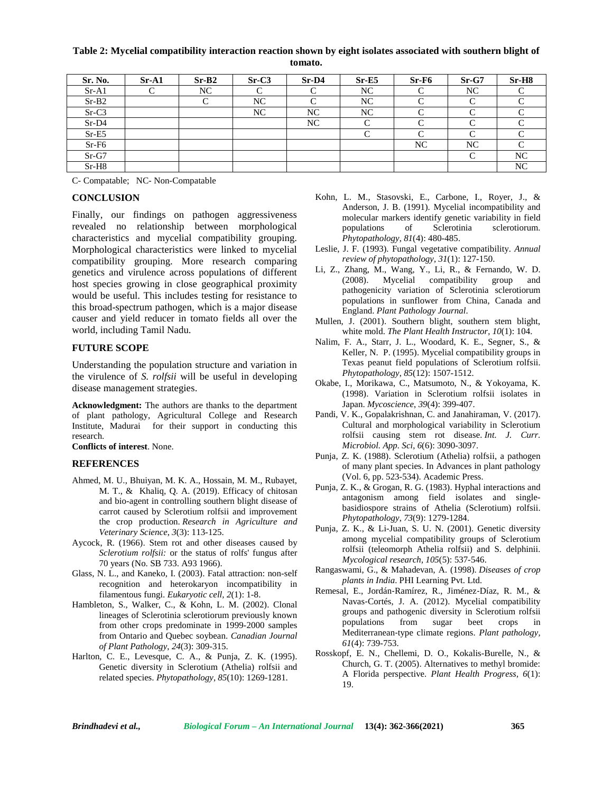**Table 2: Mycelial compatibility interaction reaction shown by eight isolates associated with southern blight of tomato.**

| Sr. No. | $Sr-A1$ | $Sr-B2$ | $Sr-C3$ | $Sr-D4$ | $Sr-E5$    | $Sr-F6$    | $Sr-G7$    | $Sr-H8$   |
|---------|---------|---------|---------|---------|------------|------------|------------|-----------|
| $Sr-A1$ |         | NC      |         |         | NC         |            | NC         |           |
| $Sr-B2$ |         |         | NC      |         | NC         |            | ⌒          |           |
| $Sr-C3$ |         |         | NC      | NC      | NC         |            | $\sqrt{ }$ | ⌒         |
| $Sr-D4$ |         |         |         | NC      | $\sqrt{ }$ |            | $\sqrt{ }$ | ⌒         |
| $Sr-E5$ |         |         |         |         | $\sqrt{ }$ | $\sqrt{ }$ | $\sqrt{ }$ | ⌒         |
| $Sr-F6$ |         |         |         |         |            | NC         | NC         | ⌒         |
| $Sr-G7$ |         |         |         |         |            |            |            | <b>NC</b> |
| $Sr-H8$ |         |         |         |         |            |            |            | NC        |

C- Compatable; NC- Non-Compatable

#### **CONCLUSION**

Finally, our findings on pathogen aggressiveness revealed no relationship between morphological characteristics and mycelial compatibility grouping. Morphological characteristics were linked to mycelial compatibility grouping. More research comparing genetics and virulence across populations of different host species growing in close geographical proximity would be useful. This includes testing for resistance to this broad-spectrum pathogen, which is a major disease causer and yield reducer in tomato fields all over the world, including Tamil Nadu.

#### **FUTURE SCOPE**

Understanding the population structure and variation in the virulence of *S. rolfsii* will be useful in developing disease management strategies.

**Acknowledgment:** The authors are thanks to the department of plant pathology, Agricultural College and Research Institute, Madurai for their support in conducting this research.

**Conflicts of interest**. None.

#### **REFERENCES**

- Ahmed, M. U., Bhuiyan, M. K. A., Hossain, M. M., Rubayet, M. T., & Khaliq, Q. A. (2019). Efficacy of chitosan and bio-agent in controlling southern blight disease of carrot caused by Sclerotium rolfsii and improvement the crop production. *Research in Agriculture and Veterinary Science*, *3*(3): 113-125.
- Aycock, R. (1966). Stem rot and other diseases caused by *Sclerotium rolfsii:* or the status of rolfs' fungus after 70 years (No. SB 733. A93 1966).
- Glass, N. L., and Kaneko, I. (2003). Fatal attraction: non-self recognition and heterokaryon incompatibility in filamentous fungi. *Eukaryotic cell, 2*(1): 1-8.
- Hambleton, S., Walker, C., & Kohn, L. M. (2002). Clonal lineages of Sclerotinia sclerotiorum previously known from other crops predominate in 1999-2000 samples from Ontario and Quebec soybean. *Canadian Journal of Plant Pathology*, *24*(3): 309-315.
- Harlton, C. E., Levesque, C. A., & Punja, Z. K. (1995). Genetic diversity in Sclerotium (Athelia) rolfsii and related species. *Phytopathology*, *85*(10): 1269-1281.
- Kohn, L. M., Stasovski, E., Carbone, I., Royer, J., & Anderson, J. B. (1991). Mycelial incompatibility and molecular markers identify genetic variability in field populations of Sclerotinia sclerotiorum. *Phytopathology*, *81*(4): 480-485.
- Leslie, J. F. (1993). Fungal vegetative compatibility. *Annual review of phytopathology, 31*(1): 127-150.
- Li, Z., Zhang, M., Wang, Y., Li, R., & Fernando, W. D. (2008). Mycelial compatibility group and pathogenicity variation of Sclerotinia sclerotiorum populations in sunflower from China, Canada and England. *Plant Pathology Journal*.
- Mullen, J. (2001). Southern blight, southern stem blight, white mold. *The Plant Health Instructor, 10*(1): 104.
- Nalim, F. A., Starr, J. L., Woodard, K. E., Segner, S., & Keller, N. P. (1995). Mycelial compatibility groups in Texas peanut field populations of Sclerotium rolfsii. *Phytopathology*, *85*(12): 1507-1512.
- Okabe, I., Morikawa, C., Matsumoto, N., & Yokoyama, K. (1998). Variation in Sclerotium rolfsii isolates in Japan. *Mycoscience*, *39*(4): 399-407.
- Pandi, V. K., Gopalakrishnan, C. and Janahiraman, V. (2017). Cultural and morphological variability in Sclerotium rolfsii causing stem rot disease. *Int. J. Curr. Microbiol. App. Sci*, *6*(6): 3090-3097.
- Punja, Z. K. (1988). Sclerotium (Athelia) rolfsii, a pathogen of many plant species. In Advances in plant pathology (Vol. 6, pp. 523-534). Academic Press.
- Punja, Z. K., & Grogan, R. G. (1983). Hyphal interactions and antagonism among field isolates and single basidiospore strains of Athelia (Sclerotium) rolfsii. *Phytopathology*, *73*(9): 1279-1284.
- Punja, Z. K., & Li-Juan, S. U. N. (2001). Genetic diversity among mycelial compatibility groups of Sclerotium rolfsii (teleomorph Athelia rolfsii) and S. delphinii. *Mycological research, 105*(5): 537-546.
- Rangaswami, G., & Mahadevan, A. (1998). *Diseases of crop plants in India*. PHI Learning Pvt. Ltd.
- Remesal, E., Jordán‐Ramírez, R., Jiménez‐Díaz, R. M., & Navas‐Cortés, J. A. (2012). Mycelial compatibility groups and pathogenic diversity in Sclerotium rolfsii sugar beet crops in Mediterranean‐type climate regions. *Plant pathology, 61*(4): 739-753.
- Rosskopf, E. N., Chellemi, D. O., Kokalis-Burelle, N., & Church, G. T. (2005). Alternatives to methyl bromide: A Florida perspective. *Plant Health Progress, 6*(1): 19.